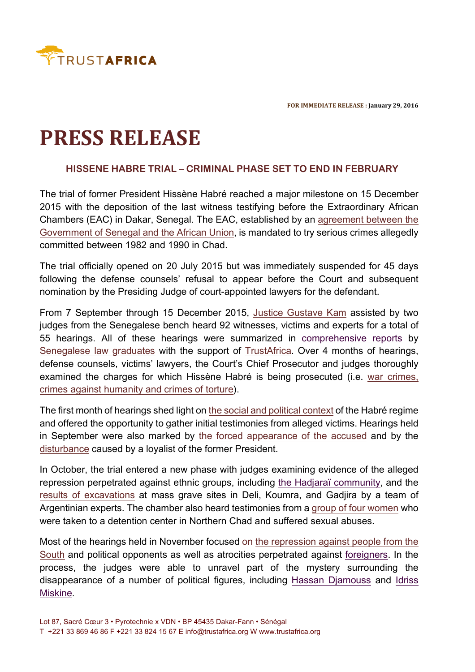

**FOR IMMEDIATE RELEASE : January 29, 2016** 

## **PRESS RELEASE**

## **HISSENE HABRE TRIAL – CRIMINAL PHASE SET TO END IN FEBRUARY**

The trial of former President Hissène Habré reached a major milestone on 15 December 2015 with the deposition of the last witness testifying before the Extraordinary African Chambers (EAC) in Dakar, Senegal. The EAC, established by an agreement between the Government of Senegal and the African Union, is mandated to try serious crimes allegedly committed between 1982 and 1990 in Chad.

The trial officially opened on 20 July 2015 but was immediately suspended for 45 days following the defense counsels' refusal to appear before the Court and subsequent nomination by the Presiding Judge of court-appointed lawyers for the defendant.

From 7 September through 15 December 2015, Justice Gustave Kam assisted by two judges from the Senegalese bench heard 92 witnesses, victims and experts for a total of 55 hearings. All of these hearings were summarized in comprehensive reports by Senegalese law graduates with the support of TrustAfrica. Over 4 months of hearings, defense counsels, victims' lawyers, the Court's Chief Prosecutor and judges thoroughly examined the charges for which Hissène Habré is being prosecuted (i.e. war crimes, crimes against humanity and crimes of torture).

The first month of hearings shed light on the social and political context of the Habré regime and offered the opportunity to gather initial testimonies from alleged victims. Hearings held in September were also marked by the forced appearance of the accused and by the disturbance caused by a loyalist of the former President.

In October, the trial entered a new phase with judges examining evidence of the alleged repression perpetrated against ethnic groups, including the Hadjaraï community, and the results of excavations at mass grave sites in Deli, Koumra, and Gadjira by a team of Argentinian experts. The chamber also heard testimonies from a group of four women who were taken to a detention center in Northern Chad and suffered sexual abuses.

Most of the hearings held in November focused on the repression against people from the South and political opponents as well as atrocities perpetrated against foreigners. In the process, the judges were able to unravel part of the mystery surrounding the disappearance of a number of political figures, including Hassan Djamouss and Idriss Miskine.